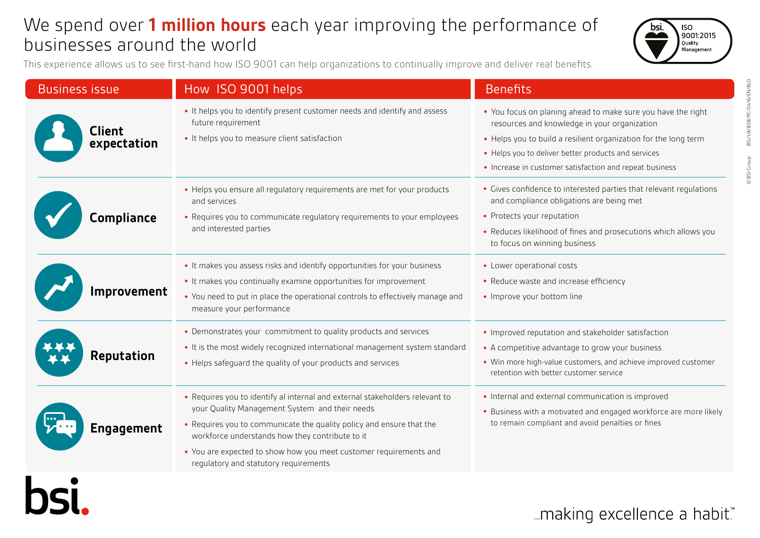## We spend over **1 million hours** each year improving the performance of businesses around the world



This experience allows us to see first-hand how ISO 9001 can help organizations to continually improve and deliver real benefits.

hsi

| <b>Business issue</b>        | How ISO 9001 helps                                                                                                                                                                                                                                                                                                                                                      | <b>Benefits</b>                                                                                                                                                                                                                                                                                   |
|------------------------------|-------------------------------------------------------------------------------------------------------------------------------------------------------------------------------------------------------------------------------------------------------------------------------------------------------------------------------------------------------------------------|---------------------------------------------------------------------------------------------------------------------------------------------------------------------------------------------------------------------------------------------------------------------------------------------------|
| <b>Client</b><br>expectation | . It helps you to identify present customer needs and identify and assess<br>future requirement<br>• It helps you to measure client satisfaction                                                                                                                                                                                                                        | • You focus on planing ahead to make sure you have the right<br>resources and knowledge in your organization<br>• Helps you to build a resilient organization for the long term<br>• Helps you to deliver better products and services<br>• Increase in customer satisfaction and repeat business |
| <b>Compliance</b>            | • Helps you ensure all requlatory requirements are met for your products<br>and services<br>• Requires you to communicate regulatory requirements to your employees<br>and interested parties                                                                                                                                                                           | • Gives confidence to interested parties that relevant regulations<br>and compliance obligations are being met<br>• Protects your reputation<br>• Reduces likelihood of fines and prosecutions which allows you<br>to focus on winning business                                                   |
| Improvement                  | • It makes you assess risks and identify opportunities for your business<br>• It makes you continually examine opportunities for improvement<br>. You need to put in place the operational controls to effectively manage and<br>measure your performance                                                                                                               | • Lower operational costs<br>• Reduce waste and increase efficiency<br>• Improve your bottom line                                                                                                                                                                                                 |
| <b>Reputation</b>            | • Demonstrates your commitment to quality products and services<br>• It is the most widely recognized international management system standard<br>• Helps safeguard the quality of your products and services                                                                                                                                                           | • Improved reputation and stakeholder satisfaction<br>• A competitive advantage to grow your business<br>• Win more high-value customers, and achieve improved customer<br>retention with better customer service                                                                                 |
| Engagement                   | • Requires you to identify al internal and external stakeholders relevant to<br>your Quality Management System and their needs<br>• Requires you to communicate the quality policy and ensure that the<br>workforce understands how they contribute to it<br>• You are expected to show how you meet customer requirements and<br>regulatory and statutory requirements | • Internal and external communication is improved<br>• Business with a motivated and engaged workforce are more likely<br>to remain compliant and avoid penalties or fines                                                                                                                        |

... making excellence a habit."